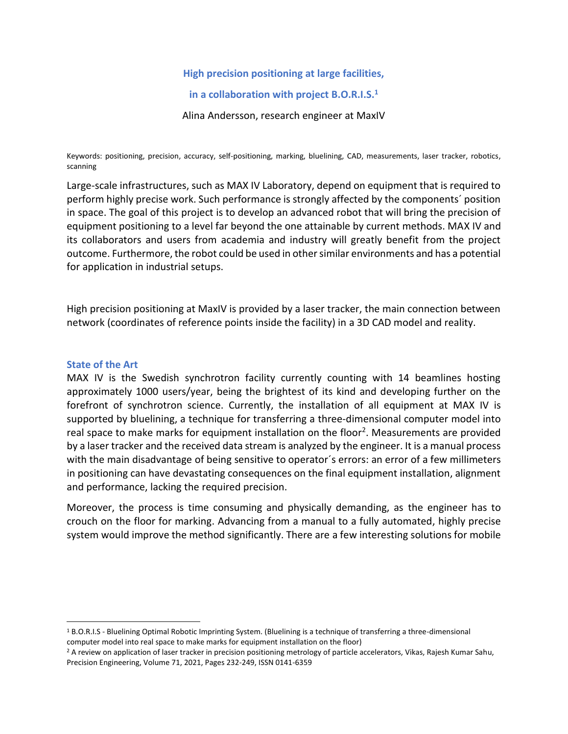## **High precision positioning at large facilities,**

## **in a collaboration with project B.O.R.I.S.<sup>1</sup>**

Alina Andersson, research engineer at MaxIV

Keywords: positioning, precision, accuracy, self-positioning, marking, bluelining, CAD, measurements, laser tracker, robotics, scanning

Large-scale infrastructures, such as MAX IV Laboratory, depend on equipment that is required to perform highly precise work. Such performance is strongly affected by the components´ position in space. The goal of this project is to develop an advanced robot that will bring the precision of equipment positioning to a level far beyond the one attainable by current methods. MAX IV and its collaborators and users from academia and industry will greatly benefit from the project outcome. Furthermore, the robot could be used in other similar environments and has a potential for application in industrial setups.

High precision positioning at MaxIV is provided by a laser tracker, the main connection between network (coordinates of reference points inside the facility) in a 3D CAD model and reality.

#### **State of the Art**

MAX IV is the Swedish synchrotron facility currently counting with 14 beamlines hosting approximately 1000 users/year, being the brightest of its kind and developing further on the forefront of synchrotron science. Currently, the installation of all equipment at MAX IV is supported by bluelining, a technique for transferring a three-dimensional computer model into real space to make marks for equipment installation on the floor<sup>2</sup>. Measurements are provided by a laser tracker and the received data stream is analyzed by the engineer. It is a manual process with the main disadvantage of being sensitive to operator´s errors: an error of a few millimeters in positioning can have devastating consequences on the final equipment installation, alignment and performance, lacking the required precision.

Moreover, the process is time consuming and physically demanding, as the engineer has to crouch on the floor for marking. Advancing from a manual to a fully automated, highly precise system would improve the method significantly. There are a few interesting solutions for mobile

<sup>&</sup>lt;sup>1</sup> B.O.R.I.S - Bluelining Optimal Robotic Imprinting System. (Bluelining is a technique of transferring a three-dimensional computer model into real space to make marks for equipment installation on the floor)

<sup>&</sup>lt;sup>2</sup> A review on application of laser tracker in precision positioning metrology of particle accelerators, Vikas, Rajesh Kumar Sahu, Precision Engineering, Volume 71, 2021, Pages 232-249, ISSN 0141-6359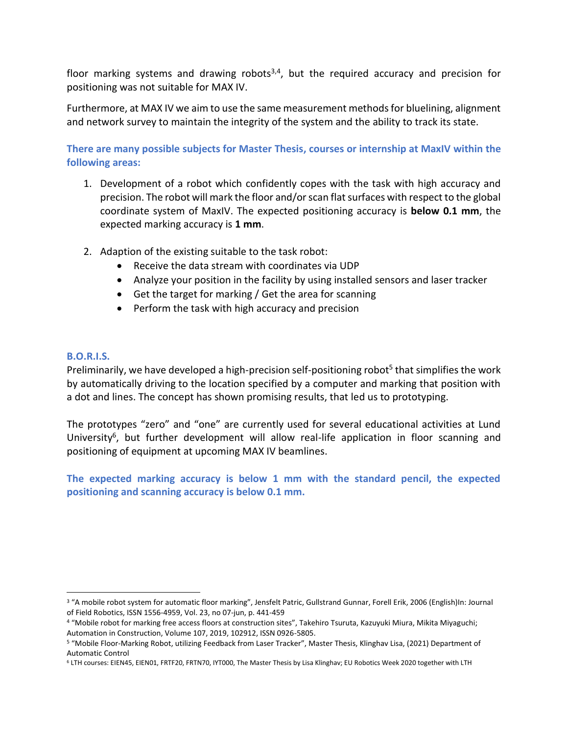floor marking systems and drawing robots<sup>3,4</sup>, but the required accuracy and precision for positioning was not suitable for MAX IV.

Furthermore, at MAX IV we aim to use the same measurement methods for bluelining, alignment and network survey to maintain the integrity of the system and the ability to track its state.

**There are many possible subjects for Master Thesis, courses or internship at MaxIV within the following areas:**

- 1. Development of a robot which confidently copes with the task with high accuracy and precision. The robot will mark the floor and/or scan flat surfaces with respect to the global coordinate system of MaxIV. The expected positioning accuracy is **below 0.1 mm**, the expected marking accuracy is **1 mm**.
- 2. Adaption of the existing suitable to the task robot:
	- Receive the data stream with coordinates via UDP
	- Analyze your position in the facility by using installed sensors and laser tracker
	- Get the target for marking / Get the area for scanning
	- Perform the task with high accuracy and precision

# **B.O.R.I.S.**

Preliminarily, we have developed a high-precision self-positioning robot<sup>5</sup> that simplifies the work by automatically driving to the location specified by a computer and marking that position with a dot and lines. The concept has shown promising results, that led us to prototyping.

The prototypes "zero" and "one" are currently used for several educational activities at Lund University<sup>6</sup>, but further development will allow real-life application in floor scanning and positioning of equipment at upcoming MAX IV beamlines.

**The expected marking accuracy is below 1 mm with the standard pencil, the expected positioning and scanning accuracy is below 0.1 mm.**

<sup>3</sup> "A mobile robot system for automatic floor marking", Jensfelt Patric, Gullstrand Gunnar, Forell Erik, 2006 (English)In: Journal of Field Robotics, ISSN 1556-4959, Vol. 23, no 07-jun, p. 441-459

<sup>4</sup> "Mobile robot for marking free access floors at construction sites", Takehiro Tsuruta, Kazuyuki Miura, Mikita Miyaguchi; Automation in Construction, Volume 107, 2019, 102912, ISSN 0926-5805.

<sup>5</sup> "Mobile Floor-Marking Robot, utilizing Feedback from Laser Tracker", Master Thesis, Klinghav Lisa, (2021) Department of Automatic Control

<sup>6</sup> LTH courses: EIEN45, EIEN01, FRTF20, FRTN70, IYT000, The Master Thesis by Lisa Klinghav; EU Robotics Week 2020 together with LTH